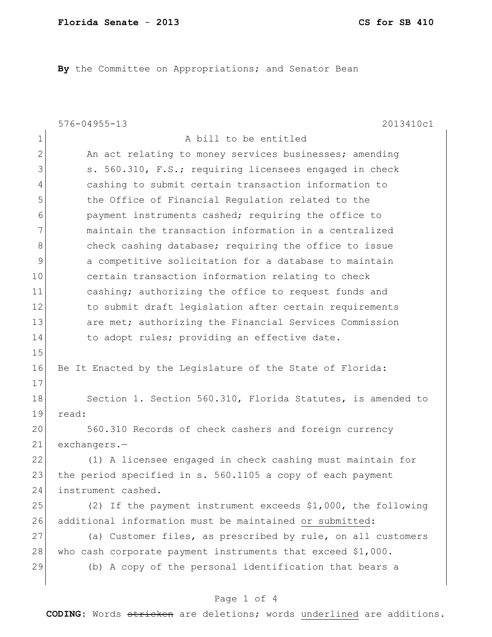**By** the Committee on Appropriations; and Senator Bean

|              | $576 - 04955 - 13$<br>2013410c1                                |
|--------------|----------------------------------------------------------------|
| 1            | A bill to be entitled                                          |
| $\mathbf{2}$ | An act relating to money services businesses; amending         |
| 3            | s. 560.310, F.S.; requiring licensees engaged in check         |
| 4            | cashing to submit certain transaction information to           |
| 5            | the Office of Financial Regulation related to the              |
| 6            | payment instruments cashed; requiring the office to            |
| 7            | maintain the transaction information in a centralized          |
| 8            | check cashing database; requiring the office to issue          |
| $\mathsf 9$  | a competitive solicitation for a database to maintain          |
| 10           | certain transaction information relating to check              |
| 11           | cashing; authorizing the office to request funds and           |
| 12           | to submit draft legislation after certain requirements         |
| 13           | are met; authorizing the Financial Services Commission         |
| 14           | to adopt rules; providing an effective date.                   |
| 15           |                                                                |
| 16           | Be It Enacted by the Legislature of the State of Florida:      |
| 17           |                                                                |
| 18           | Section 1. Section 560.310, Florida Statutes, is amended to    |
| 19           | read:                                                          |
| 20           | 560.310 Records of check cashers and foreign currency          |
| 21           | $exchanges.-$                                                  |
| 22           | (1) A licensee engaged in check cashing must maintain for      |
| 23           | the period specified in s. 560.1105 a copy of each payment     |
| 24           | instrument cashed.                                             |
| 25           | (2) If the payment instrument exceeds $$1,000$ , the following |
| 26           | additional information must be maintained or submitted:        |
| 27           | (a) Customer files, as prescribed by rule, on all customers    |
| 28           | who cash corporate payment instruments that exceed $$1,000$ .  |
| 29           | (b) A copy of the personal identification that bears a         |
|              |                                                                |

## Page 1 of 4

**CODING**: Words stricken are deletions; words underlined are additions.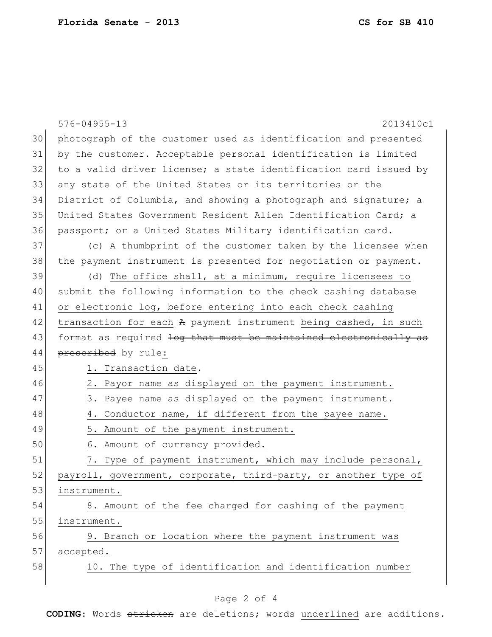|    | $576 - 04955 - 13$<br>2013410c1                                  |
|----|------------------------------------------------------------------|
| 30 | photograph of the customer used as identification and presented  |
| 31 | by the customer. Acceptable personal identification is limited   |
| 32 | to a valid driver license; a state identification card issued by |
| 33 | any state of the United States or its territories or the         |
| 34 | District of Columbia, and showing a photograph and signature; a  |
| 35 | United States Government Resident Alien Identification Card; a   |
| 36 | passport; or a United States Military identification card.       |
| 37 | (c) A thumbprint of the customer taken by the licensee when      |
| 38 | the payment instrument is presented for negotiation or payment.  |
| 39 | (d) The office shall, at a minimum, require licensees to         |
| 40 | submit the following information to the check cashing database   |
| 41 | or electronic log, before entering into each check cashing       |
| 42 | transaction for each A payment instrument being cashed, in such  |
| 43 | format as required log that must be maintained electronically as |
| 44 | prescribed by rule:                                              |
| 45 | 1. Transaction date.                                             |
| 46 | 2. Payor name as displayed on the payment instrument.            |
| 47 | 3. Payee name as displayed on the payment instrument.            |
| 48 | 4. Conductor name, if different from the payee name.             |
| 49 | 5. Amount of the payment instrument.                             |
| 50 | 6. Amount of currency provided.                                  |
| 51 | 7. Type of payment instrument, which may include personal,       |
| 52 | payroll, government, corporate, third-party, or another type of  |
| 53 | instrument.                                                      |
| 54 | 8. Amount of the fee charged for cashing of the payment          |
| 55 | instrument.                                                      |
| 56 | 9. Branch or location where the payment instrument was           |
| 57 | accepted.                                                        |
| 58 | 10. The type of identification and identification number         |
|    |                                                                  |

## Page 2 of 4

**CODING**: Words stricken are deletions; words underlined are additions.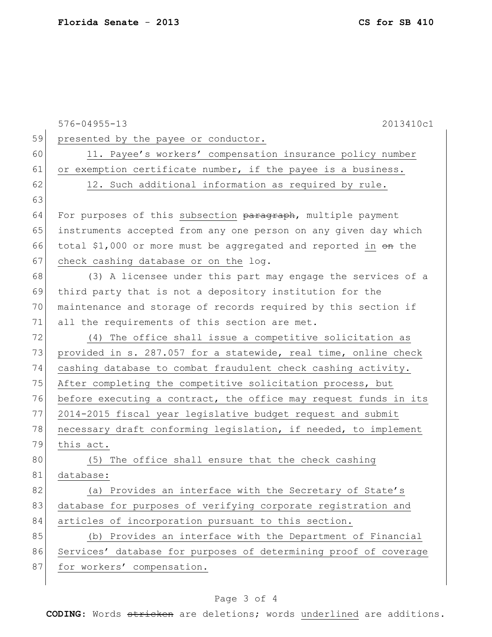|    | $576 - 04955 - 13$<br>2013410c1                                  |
|----|------------------------------------------------------------------|
| 59 | presented by the payee or conductor.                             |
| 60 | 11. Payee's workers' compensation insurance policy number        |
| 61 | or exemption certificate number, if the payee is a business.     |
| 62 | 12. Such additional information as required by rule.             |
| 63 |                                                                  |
| 64 | For purposes of this subsection paragraph, multiple payment      |
| 65 | instruments accepted from any one person on any given day which  |
| 66 | total \$1,000 or more must be aggregated and reported in on the  |
| 67 | check cashing database or on the log.                            |
| 68 | (3) A licensee under this part may engage the services of a      |
| 69 | third party that is not a depository institution for the         |
| 70 | maintenance and storage of records required by this section if   |
| 71 | all the requirements of this section are met.                    |
| 72 | (4) The office shall issue a competitive solicitation as         |
| 73 | provided in s. 287.057 for a statewide, real time, online check  |
| 74 | cashing database to combat fraudulent check cashing activity.    |
| 75 | After completing the competitive solicitation process, but       |
| 76 | before executing a contract, the office may request funds in its |
| 77 | 2014-2015 fiscal year legislative budget request and submit      |
| 78 | necessary draft conforming legislation, if needed, to implement  |
| 79 | this act.                                                        |
| 80 | (5) The office shall ensure that the check cashing               |
| 81 | database:                                                        |
| 82 | (a) Provides an interface with the Secretary of State's          |
| 83 | database for purposes of verifying corporate registration and    |
| 84 | articles of incorporation pursuant to this section.              |
| 85 | (b) Provides an interface with the Department of Financial       |
| 86 | Services' database for purposes of determining proof of coverage |
| 87 | for workers' compensation.                                       |
|    |                                                                  |

## Page 3 of 4

**CODING**: Words stricken are deletions; words underlined are additions.